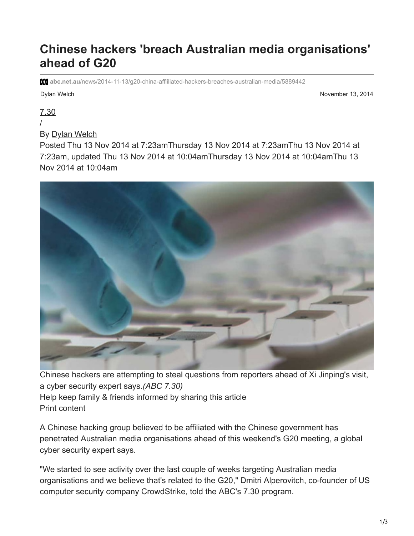## **Chinese hackers 'breach Australian media organisations' ahead of G20**

**abc.net.au**[/news/2014-11-13/g20-china-affliliated-hackers-breaches-australian-media/5889442](https://www.abc.net.au/news/2014-11-13/g20-china-affliliated-hackers-breaches-australian-media/5889442)

Dylan Welch November 13, 2014

[7.30](https://www.abc.net.au/7.30/)

/

By [Dylan Welch](https://www.abc.net.au/news/dylan-welch/5572520)

Posted Thu 13 Nov 2014 at 7:23amThursday 13 Nov 2014 at 7:23amThu 13 Nov 2014 at 7:23am, updated Thu 13 Nov 2014 at 10:04amThursday 13 Nov 2014 at 10:04amThu 13 Nov 2014 at 10:04am



Chinese hackers are attempting to steal questions from reporters ahead of Xi Jinping's visit, a cyber security expert says.*(ABC 7.30)* Help keep family & friends informed by sharing this article Print content

A Chinese hacking group believed to be affiliated with the Chinese government has penetrated Australian media organisations ahead of this weekend's G20 meeting, a global cyber security expert says.

"We started to see activity over the last couple of weeks targeting Australian media organisations and we believe that's related to the G20," Dmitri Alperovitch, co-founder of US computer security company CrowdStrike, told the ABC's 7.30 program.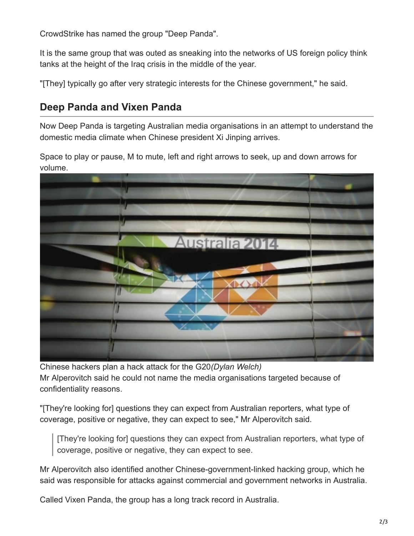CrowdStrike has named the group "Deep Panda".

It is the same group that was outed as sneaking into the networks of US foreign policy think tanks at the height of the Iraq crisis in the middle of the year.

"[They] typically go after very strategic interests for the Chinese government," he said.

## **Deep Panda and Vixen Panda**

Now Deep Panda is targeting Australian media organisations in an attempt to understand the domestic media climate when Chinese president Xi Jinping arrives.

Space to play or pause, M to mute, left and right arrows to seek, up and down arrows for volume.



Chinese hackers plan a hack attack for the G20*(Dylan Welch)* Mr Alperovitch said he could not name the media organisations targeted because of confidentiality reasons.

"[They're looking for] questions they can expect from Australian reporters, what type of coverage, positive or negative, they can expect to see," Mr Alperovitch said.

[They're looking for] questions they can expect from Australian reporters, what type of coverage, positive or negative, they can expect to see.

Mr Alperovitch also identified another Chinese-government-linked hacking group, which he said was responsible for attacks against commercial and government networks in Australia.

Called Vixen Panda, the group has a long track record in Australia.